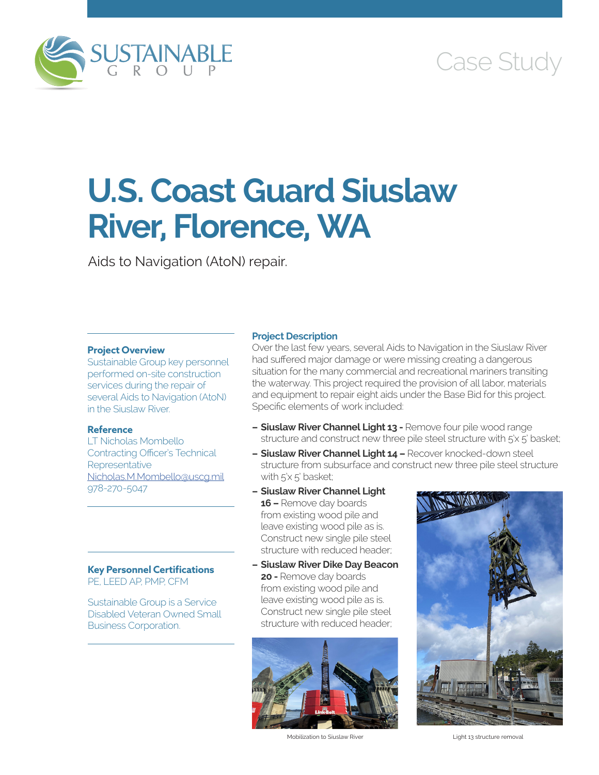

# Case Study

# **U.S. Coast Guard Siuslaw River, Florence, WA**

Aids to Navigation (AtoN) repair.

## **Project Overview**

Sustainable Group key personnel performed on-site construction services during the repair of several Aids to Navigation (AtoN) in the Siuslaw River.

### **Reference**

LT Nicholas Mombello Contracting Officer's Technical **Representative** [Nicholas.M.Mombello@uscg.mil](mailto:Nicholas.M.Mombello@uscg.mil) 978-270-5047

#### **Key Personnel Certifications** PE, LEED AP, PMP, CFM

Sustainable Group is a Service Disabled Veteran Owned Small Business Corporation.

#### **Project Description**

Over the last few years, several Aids to Navigation in the Siuslaw River had suffered major damage or were missing creating a dangerous situation for the many commercial and recreational mariners transiting the waterway. This project required the provision of all labor, materials and equipment to repair eight aids under the Base Bid for this project. Specific elements of work included:

- **– Siuslaw River Channel Light 13** Remove four pile wood range structure and construct new three pile steel structure with 5'x 5' basket;
- **– Siuslaw River Channel Light 14** Recover knocked-down steel structure from subsurface and construct new three pile steel structure with 5'x 5' basket;
- **– Siuslaw River Channel Light 16 –** Remove day boards from existing wood pile and leave existing wood pile as is. Construct new single pile steel structure with reduced header;
- **– Siuslaw River Dike Day Beacon 20 -** Remove day boards from existing wood pile and leave existing wood pile as is. Construct new single pile steel structure with reduced header;



Mobilization to Siuslaw River **Light 13 structure removal**